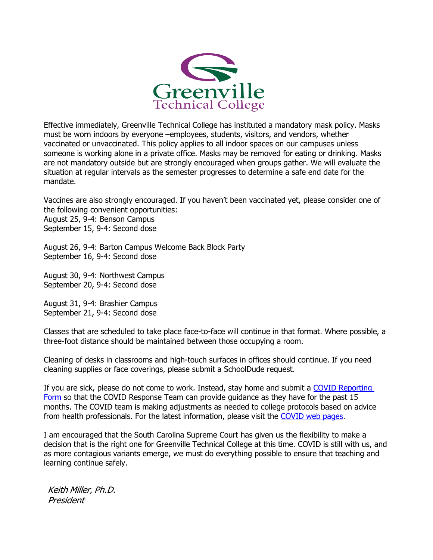

Effective immediately, Greenville Technical College has instituted a mandatory mask policy. Masks must be worn indoors by everyone –employees, students, visitors, and vendors, whether vaccinated or unvaccinated. This policy applies to all indoor spaces on our campuses unless someone is working alone in a private office. Masks may be removed for eating or drinking. Masks are not mandatory outside but are strongly encouraged when groups gather. We will evaluate the situation at regular intervals as the semester progresses to determine a safe end date for the mandate.

Vaccines are also strongly encouraged. If you haven't been vaccinated yet, please consider one of the following convenient opportunities: August 25, 9-4: Benson Campus September 15, 9-4: Second dose

August 26, 9-4: Barton Campus Welcome Back Block Party September 16, 9-4: Second dose

August 30, 9-4: Northwest Campus September 20, 9-4: Second dose

August 31, 9-4: Brashier Campus September 21, 9-4: Second dose

Classes that are scheduled to take place face-to-face will continue in that format. Where possible, a three-foot distance should be maintained between those occupying a room.

Cleaning of desks in classrooms and high-touch surfaces in offices should continue. If you need cleaning supplies or face coverings, please submit a SchoolDude request.

If you are sick, please do not come to work. Instead, stay home and submit a [COVID Reporting](https://forms.office.com/Pages/ResponsePage.aspx?id=4C36jYYlZUuonZToHq7YpGH9z3xfHX5Muciw23DO93hUQ0VMVjBKRlJMN0lUVDFaUldVV0E4MzdZSC4u)  [Form](https://forms.office.com/Pages/ResponsePage.aspx?id=4C36jYYlZUuonZToHq7YpGH9z3xfHX5Muciw23DO93hUQ0VMVjBKRlJMN0lUVDFaUldVV0E4MzdZSC4u) so that the COVID Response Team can provide guidance as they have for the past 15 months. The COVID team is making adjustments as needed to college protocols based on advice from health professionals. For the latest information, please visit the [COVID web pages.](https://www.gvltec.edu/about_greenvilletech/administration_governance/covid-19-response/coronavirus.html)

I am encouraged that the South Carolina Supreme Court has given us the flexibility to make a decision that is the right one for Greenville Technical College at this time. COVID is still with us, and as more contagious variants emerge, we must do everything possible to ensure that teaching and learning continue safely.

Keith Miller, Ph.D. President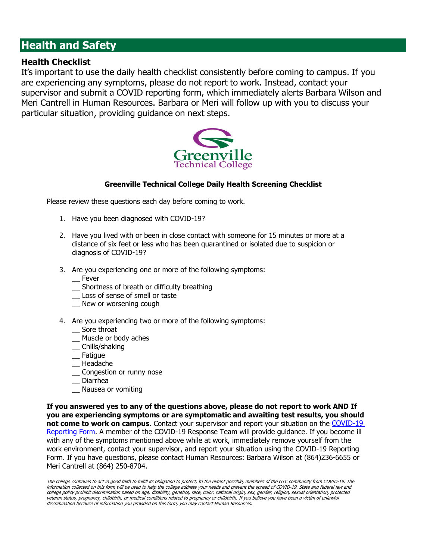# **Health and Safety**

#### **Health Checklist**

It's important to use the daily health checklist consistently before coming to campus. If you are experiencing any symptoms, please do not report to work. Instead, contact your supervisor and submit a COVID reporting form, which immediately alerts Barbara Wilson and Meri Cantrell in Human Resources. Barbara or Meri will follow up with you to discuss your particular situation, providing guidance on next steps.



#### **Greenville Technical College Daily Health Screening Checklist**

Please review these questions each day before coming to work.

- 1. Have you been diagnosed with COVID-19?
- 2. Have you lived with or been in close contact with someone for 15 minutes or more at a distance of six feet or less who has been quarantined or isolated due to suspicion or diagnosis of COVID-19?
- 3. Are you experiencing one or more of the following symptoms:
	- \_\_ Fever
	- \_\_ Shortness of breath or difficulty breathing
	- \_\_ Loss of sense of smell or taste
	- New or worsening cough
- 4. Are you experiencing two or more of the following symptoms:
	- \_\_ Sore throat
	- \_\_ Muscle or body aches
	- \_\_ Chills/shaking
	- \_\_ Fatigue
	- \_\_ Headache
	- \_\_ Congestion or runny nose
	- \_\_ Diarrhea
	- Nausea or vomiting

**If you answered yes to any of the questions above, please do not report to work AND If you are experiencing symptoms or are symptomatic and awaiting test results, you should not come to work on campus**. Contact your supervisor and report your situation on the [COVID-19](https://forms.office.com/Pages/ResponsePage.aspx?id=4C36jYYlZUuonZToHq7YpGH9z3xfHX5Muciw23DO93hUQ0VMVjBKRlJMN0lUVDFaUldVV0E4MzdZSC4u)  [Reporting Form.](https://forms.office.com/Pages/ResponsePage.aspx?id=4C36jYYlZUuonZToHq7YpGH9z3xfHX5Muciw23DO93hUQ0VMVjBKRlJMN0lUVDFaUldVV0E4MzdZSC4u) A member of the COVID-19 Response Team will provide guidance. If you become ill with any of the symptoms mentioned above while at work, immediately remove yourself from the work environment, contact your supervisor, and report your situation using the COVID-19 Reporting Form. If you have questions, please contact Human Resources: Barbara Wilson at (864)236-6655 or Meri Cantrell at (864) 250-8704.

The college continues to act in good faith to fulfill its obligation to protect, to the extent possible, members of the GTC community from COVID-19. The information collected on this form will be used to help the college address your needs and prevent the spread of COVID-19. State and federal law and college policy prohibit discrimination based on age, disability, genetics, race, color, national origin, sex, gender, religion, sexual orientation, protected veteran status, pregnancy, childbirth, or medical conditions related to pregnancy or childbirth. If you believe you have been a victim of unlawful discrimination because of information you provided on this form, you may contact Human Resources.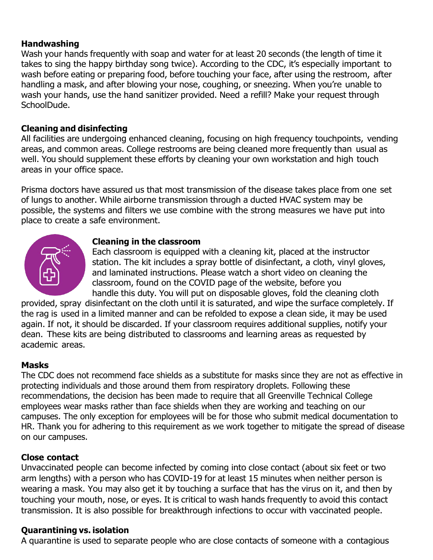### **Handwashing**

Wash your hands frequently with soap and water for at least 20 seconds (the length of time it takes to sing the happy birthday song twice). According to the CDC, it's especially important to wash before eating or preparing food, before touching your face, after using the restroom, after handling a mask, and after blowing your nose, coughing, or sneezing. When you're unable to wash your hands, use the hand sanitizer provided. Need a refill? Make your request through SchoolDude.

# **Cleaning and disinfecting**

All facilities are undergoing enhanced cleaning, focusing on high frequency touchpoints, vending areas, and common areas. College restrooms are being cleaned more frequently than usual as well. You should supplement these efforts by cleaning your own workstation and high touch areas in your office space.

Prisma doctors have assured us that most transmission of the disease takes place from one set of lungs to another. While airborne transmission through a ducted HVAC system may be possible, the systems and filters we use combine with the strong measures we have put into place to create a safe environment.



### **Cleaning in the classroom**

Each classroom is equipped with a cleaning kit, placed at the instructor station. The kit includes a spray bottle of disinfectant, a cloth, vinyl gloves, and laminated instructions. Please watch a short video on cleaning the classroom, found on the COVID page of the website, before you handle this duty. You will put on disposable gloves, fold the cleaning cloth

provided, spray disinfectant on the cloth until it is saturated, and wipe the surface completely. If the rag is used in a limited manner and can be refolded to expose a clean side, it may be used again. If not, it should be discarded. If your classroom requires additional supplies, notify your dean. These kits are being distributed to classrooms and learning areas as requested by academic areas.

# **Masks**

The CDC does not recommend face shields as a substitute for masks since they are not as effective in protecting individuals and those around them from respiratory droplets. Following these recommendations, the decision has been made to require that all Greenville Technical College employees wear masks rather than face shields when they are working and teaching on our campuses. The only exception for employees will be for those who submit medical documentation to HR. Thank you for adhering to this requirement as we work together to mitigate the spread of disease on our campuses.

# **Close contact**

Unvaccinated people can become infected by coming into close contact (about six feet or two arm lengths) with a person who has COVID-19 for at least 15 minutes when neither person is wearing a mask. You may also get it by touching a surface that has the virus on it, and then by touching your mouth, nose, or eyes. It is critical to wash hands frequently to avoid this contact transmission. It is also possible for breakthrough infections to occur with vaccinated people.

# **Quarantining vs. isolation**

A quarantine is used to separate people who are close contacts of someone with a contagious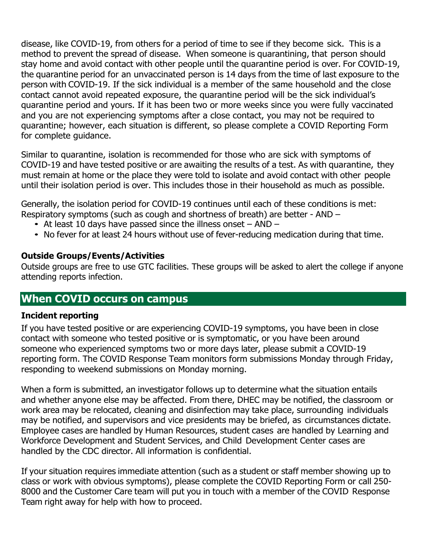disease, like COVID-19, from others for a period of time to see if they become sick. This is a method to prevent the spread of disease. When someone is quarantining, that person should stay home and avoid contact with other people until the quarantine period is over. For COVID-19, the quarantine period for an unvaccinated person is 14 days from the time of last exposure to the person with COVID-19. If the sick individual is a member of the same household and the close contact cannot avoid repeated exposure, the quarantine period will be the sick individual's quarantine period and yours. If it has been two or more weeks since you were fully vaccinated and you are not experiencing symptoms after a close contact, you may not be required to quarantine; however, each situation is different, so please complete a COVID Reporting Form for complete guidance.

Similar to quarantine, isolation is recommended for those who are sick with symptoms of COVID-19 and have tested positive or are awaiting the results of a test. As with quarantine, they must remain at home or the place they were told to isolate and avoid contact with other people until their isolation period is over. This includes those in their household as much as possible.

Generally, the isolation period for COVID-19 continues until each of these conditions is met: Respiratory symptoms (such as cough and shortness of breath) are better - AND –

- At least 10 days have passed since the illness onset  $-$  AND  $-$
- No fever for at least 24 hours without use of fever-reducing medication during that time.

### **Outside Groups/Events/Activities**

Outside groups are free to use GTC facilities. These groups will be asked to alert the college if anyone attending reports infection.

# **When COVID occurs on campus**

#### **Incident reporting**

If you have tested positive or are experiencing COVID-19 symptoms, you have been in close contact with someone who tested positive or is symptomatic, or you have been around someone who experienced symptoms two or more days later, please submit a COVID-19 reporting form. The COVID Response Team monitors form submissions Monday through Friday, responding to weekend submissions on Monday morning.

When a form is submitted, an investigator follows up to determine what the situation entails and whether anyone else may be affected. From there, DHEC may be notified, the classroom or work area may be relocated, cleaning and disinfection may take place, surrounding individuals may be notified, and supervisors and vice presidents may be briefed, as circumstances dictate. Employee cases are handled by Human Resources, student cases are handled by Learning and Workforce Development and Student Services, and Child Development Center cases are handled by the CDC director. All information is confidential.

If your situation requires immediate attention (such as a student or staff member showing up to class or work with obvious symptoms), please complete the COVID Reporting Form or call 250- 8000 and the Customer Care team will put you in touch with a member of the COVID Response Team right away for help with how to proceed.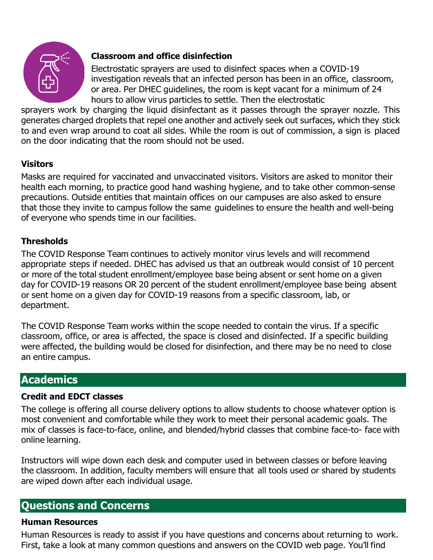

# **Classroom and office disinfection**

Electrostatic sprayers are used to disinfect spaces when a COVID-19 investigation reveals that an infected person has been in an office, classroom, or area. Per DHEC guidelines, the room is kept vacant for a minimum of 24 hours to allow virus particles to settle. Then the electrostatic

sprayers work by charging the liquid disinfectant as it passes through the sprayer nozzle. This generates charged droplets that repel one another and actively seek out surfaces, which they stick to and even wrap around to coat all sides. While the room is out of commission, a sign is placed on the door indicating that the room should not be used.

# **Visitors**

Masks are required for vaccinated and unvaccinated visitors. Visitors are asked to monitor their health each morning, to practice good hand washing hygiene, and to take other common-sense precautions. Outside entities that maintain offices on our campuses are also asked to ensure that those they invite to campus follow the same guidelines to ensure the health and well-being of everyone who spends time in our facilities.

# **Thresholds**

The COVID Response Team continues to actively monitor virus levels and will recommend appropriate steps if needed. DHEC has advised us that an outbreak would consist of 10 percent or more of the total student enrollment/employee base being absent or sent home on a given day for COVID-19 reasons OR 20 percent of the student enrollment/employee base being absent or sent home on a given day for COVID-19 reasons from a specific classroom, lab, or department.

The COVID Response Team works within the scope needed to contain the virus. If a specific classroom, office, or area is affected, the space is closed and disinfected. If a specific building were affected, the building would be closed for disinfection, and there may be no need to close an entire campus.

# **Academics**

# **Credit and EDCT classes**

The college is offering all course delivery options to allow students to choose whatever option is most convenient and comfortable while they work to meet their personal academic goals. The mix of classes is face-to-face, online, and blended/hybrid classes that combine face-to- face with online learning.

Instructors will wipe down each desk and computer used in between classes or before leaving the classroom. In addition, faculty members will ensure that all tools used or shared by students are wiped down after each individual usage.

# **Questions and Concerns**

# **Human Resources**

Human Resources is ready to assist if you have questions and concerns about returning to work. First, take a look at many common questions and answers on the COVID web page. You'll find